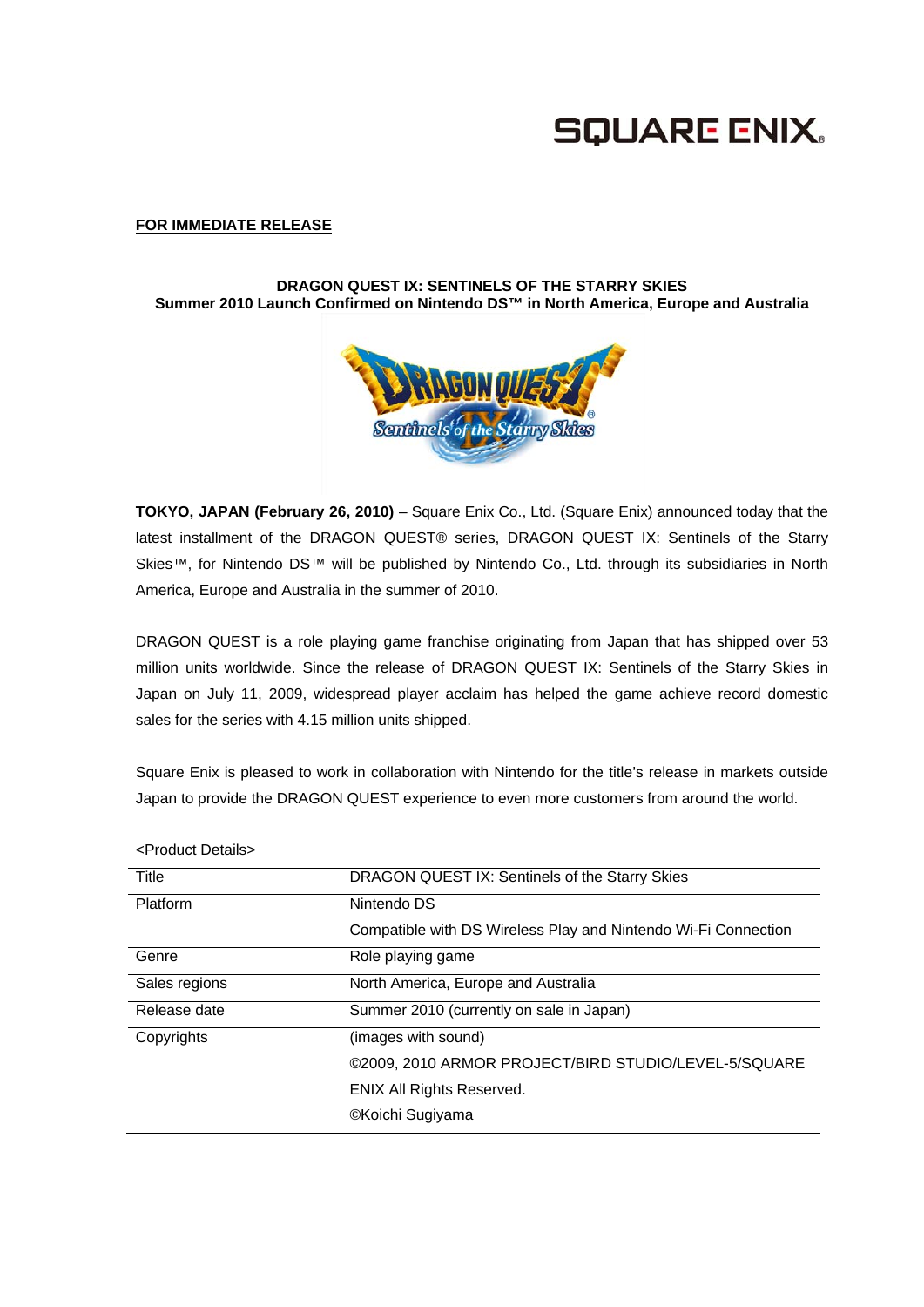# **SQUARE ENIX.**

### **FOR IMMEDIATE RELEASE**

### **DRAGON QUEST IX: SENTINELS OF THE STARRY SKIES Summer 2010 Launch Confirmed on Nintendo DS™ in North America, Europe and Australia**



**TOKYO, JAPAN (February 26, 2010)** – Square Enix Co., Ltd. (Square Enix) announced today that the latest installment of the DRAGON QUEST® series, DRAGON QUEST IX: Sentinels of the Starry Skies™, for Nintendo DS™ will be published by Nintendo Co., Ltd. through its subsidiaries in North America, Europe and Australia in the summer of 2010.

DRAGON QUEST is a role playing game franchise originating from Japan that has shipped over 53 million units worldwide. Since the release of DRAGON QUEST IX: Sentinels of the Starry Skies in Japan on July 11, 2009, widespread player acclaim has helped the game achieve record domestic sales for the series with 4.15 million units shipped.

Square Enix is pleased to work in collaboration with Nintendo for the title's release in markets outside Japan to provide the DRAGON QUEST experience to even more customers from around the world.

| 11 IVYYU DUQIIJA |                                                                |
|------------------|----------------------------------------------------------------|
| Title            | DRAGON QUEST IX: Sentinels of the Starry Skies                 |
| Platform         | Nintendo DS                                                    |
|                  | Compatible with DS Wireless Play and Nintendo Wi-Fi Connection |
| Genre            | Role playing game                                              |
| Sales regions    | North America, Europe and Australia                            |
| Release date     | Summer 2010 (currently on sale in Japan)                       |
| Copyrights       | (images with sound)                                            |
|                  | ©2009, 2010 ARMOR PROJECT/BIRD STUDIO/LEVEL-5/SQUARE           |
|                  | <b>ENIX All Rights Reserved.</b>                               |
|                  | ©Koichi Sugiyama                                               |

<Product Details>